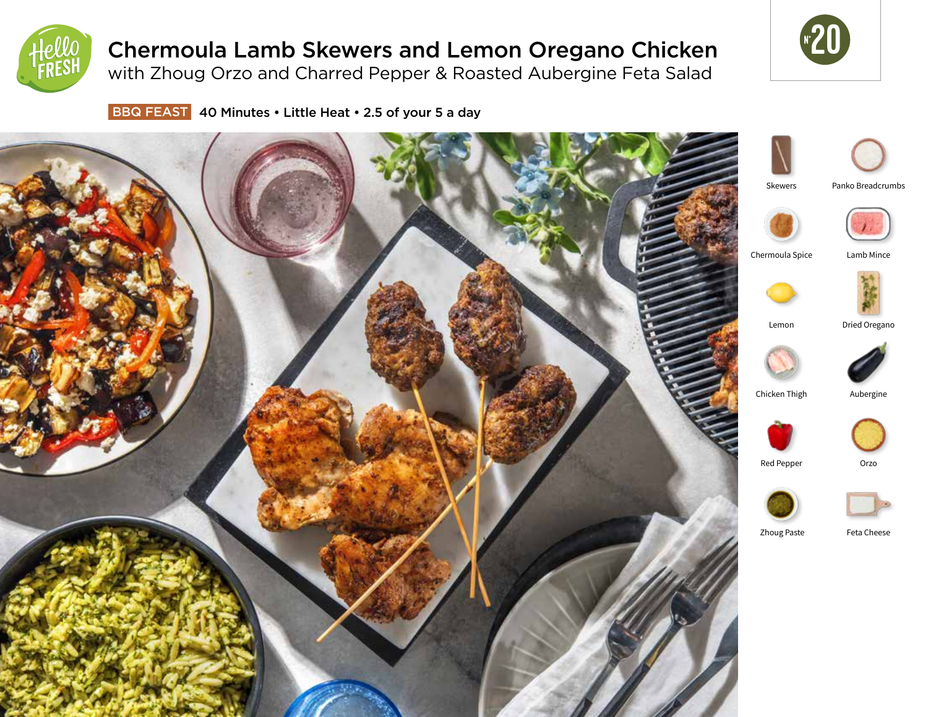

# Chermoula Lamb Skewers and Lemon Oregano Chicken

with Zhoug Orzo and Charred Pepper & Roasted Aubergine Feta Salad



BBQ FEAST 40 Minutes • Little Heat • 2.5 of your 5 a day